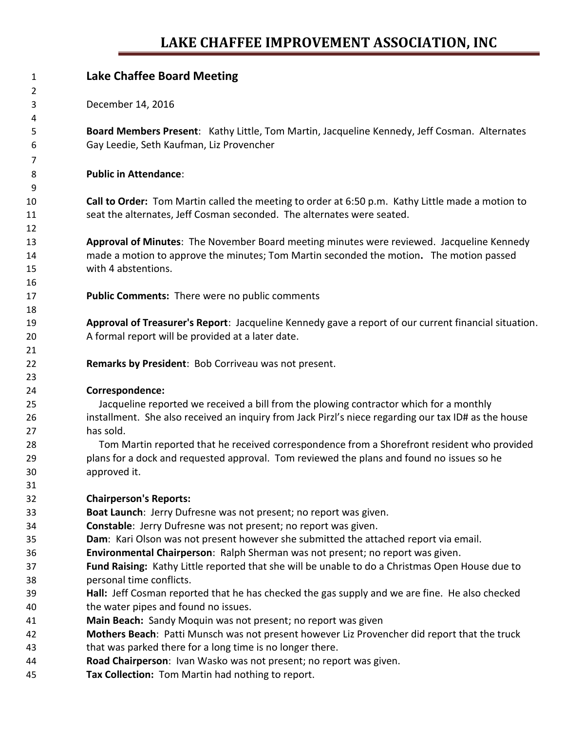## **LAKE CHAFFEE IMPROVEMENT ASSOCIATION, INC**

| 1        | <b>Lake Chaffee Board Meeting</b>                                                                              |
|----------|----------------------------------------------------------------------------------------------------------------|
| 2        |                                                                                                                |
| 3        | December 14, 2016                                                                                              |
| 4        |                                                                                                                |
| 5        | Board Members Present: Kathy Little, Tom Martin, Jacqueline Kennedy, Jeff Cosman. Alternates                   |
| 6        | Gay Leedie, Seth Kaufman, Liz Provencher                                                                       |
| 7        |                                                                                                                |
| 8        | <b>Public in Attendance:</b>                                                                                   |
| 9        |                                                                                                                |
| 10       | <b>Call to Order:</b> Tom Martin called the meeting to order at 6:50 p.m. Kathy Little made a motion to        |
| 11       | seat the alternates, Jeff Cosman seconded. The alternates were seated.                                         |
| 12       |                                                                                                                |
| 13       | Approval of Minutes: The November Board meeting minutes were reviewed. Jacqueline Kennedy                      |
| 14       | made a motion to approve the minutes; Tom Martin seconded the motion. The motion passed<br>with 4 abstentions. |
| 15<br>16 |                                                                                                                |
| 17       | Public Comments: There were no public comments                                                                 |
| 18       |                                                                                                                |
| 19       | Approval of Treasurer's Report: Jacqueline Kennedy gave a report of our current financial situation.           |
| 20       | A formal report will be provided at a later date.                                                              |
| 21       |                                                                                                                |
| 22       | Remarks by President: Bob Corriveau was not present.                                                           |
| 23       |                                                                                                                |
| 24       | Correspondence:                                                                                                |
| 25       | Jacqueline reported we received a bill from the plowing contractor which for a monthly                         |
| 26       | installment. She also received an inquiry from Jack Pirzl's niece regarding our tax ID# as the house           |
| 27       | has sold.                                                                                                      |
| 28       | Tom Martin reported that he received correspondence from a Shorefront resident who provided                    |
| 29       | plans for a dock and requested approval. Tom reviewed the plans and found no issues so he                      |
| 30       | approved it.                                                                                                   |
| 31       |                                                                                                                |
| 32       | <b>Chairperson's Reports:</b>                                                                                  |
| 33       | Boat Launch: Jerry Dufresne was not present; no report was given.                                              |
| 34       | Constable: Jerry Dufresne was not present; no report was given.                                                |
| 35       | Dam: Kari Olson was not present however she submitted the attached report via email.                           |
| 36       | Environmental Chairperson: Ralph Sherman was not present; no report was given.                                 |
| 37       | Fund Raising: Kathy Little reported that she will be unable to do a Christmas Open House due to                |
| 38       | personal time conflicts.                                                                                       |
| 39       | Hall: Jeff Cosman reported that he has checked the gas supply and we are fine. He also checked                 |
| 40       | the water pipes and found no issues.                                                                           |
| 41       | Main Beach: Sandy Moquin was not present; no report was given                                                  |
| 42       | Mothers Beach: Patti Munsch was not present however Liz Provencher did report that the truck                   |
| 43       | that was parked there for a long time is no longer there.                                                      |
| 44       | Road Chairperson: Ivan Wasko was not present; no report was given.                                             |
| 45       | Tax Collection: Tom Martin had nothing to report.                                                              |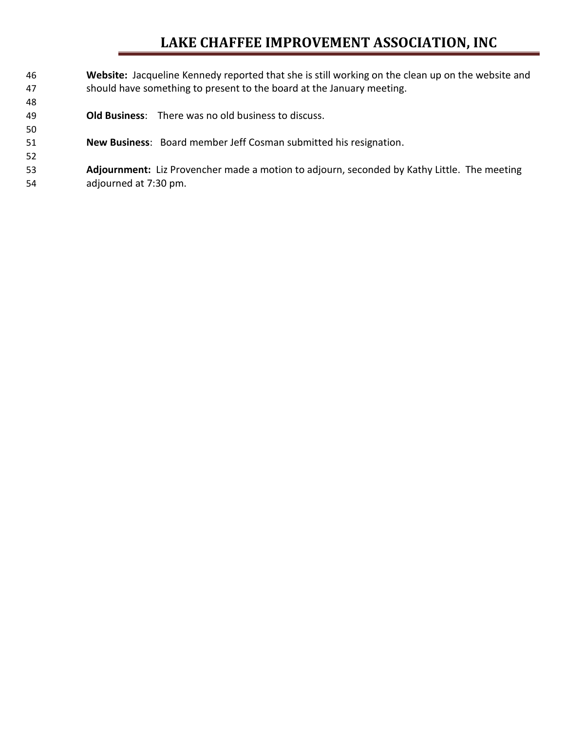## **LAKE CHAFFEE IMPROVEMENT ASSOCIATION, INC**

- **Website:** Jacqueline Kennedy reported that she is still working on the clean up on the website and should have something to present to the board at the January meeting.
- **Old Business**: There was no old business to discuss.

- **New Business**: Board member Jeff Cosman submitted his resignation.
- **Adjournment:** Liz Provencher made a motion to adjourn, seconded by Kathy Little. The meeting adjourned at 7:30 pm.